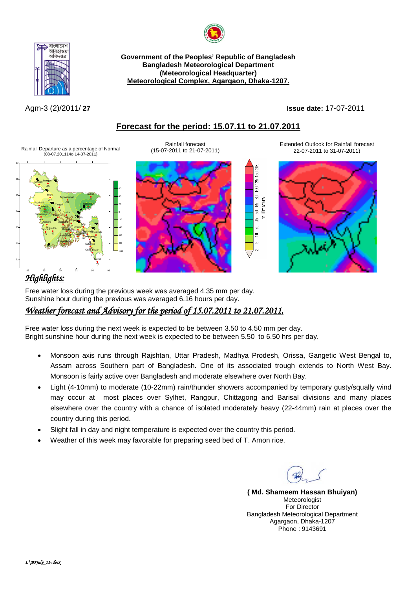



**Government of the Peoples' Republic of Bangladesh Bangladesh Meteorological Department (Meteorological Headquarter) Meteorological Complex, Agargaon, Dhaka-1207.**

Agm-3 (2)/2011/ **27 Issue date:** 17-07-2011

### **Forecast for the period: 15.07.11 to 21.07.2011**

g  $150<sub>2</sub>$  $125$  $\overline{5}$  $\mathbbmss{S}$ 15 50 65 80<br>millimeters Ŗ,  $\approx$  $\equiv$ in,

Rainfall Departure as a percentage of Normal (08-07.201114o 14-07-2011)



Rainfall forecast (15-07-2011 to 21-07-2011)

Extended Outlook for Rainfall forecast 22-07-2011 to 31-07-2011)



# *Highlights:*

Free water loss during the previous week was averaged 4.35 mm per day. Sunshine hour during the previous was averaged 6.16 hours per day.

-100 -80 -60 -40 -20 0 20 40 60

## *Weather forecast and Advisory for the period of 15.07.2011 to 21.07.2011.*

Free water loss during the next week is expected to be between 3.50 to 4.50 mm per day. Bright sunshine hour during the next week is expected to be between 5.50 to 6.50 hrs per day.

- Monsoon axis runs through Rajshtan, Uttar Pradesh, Madhya Prodesh, Orissa, Gangetic West Bengal to, Assam across Southern part of Bangladesh. One of its associated trough extends to North West Bay. Monsoon is fairly active over Bangladesh and moderate elsewhere over North Bay.
- Light (4-10mm) to moderate (10-22mm) rain/thunder showers accompanied by temporary gusty/squally wind may occur at most places over Sylhet, Rangpur, Chittagong and Barisal divisions and many places elsewhere over the country with a chance of isolated moderately heavy (22-44mm) rain at places over the country during this period.
- Slight fall in day and night temperature is expected over the country this period.
- Weather of this week may favorable for preparing seed bed of T. Amon rice.

**( Md. Shameem Hassan Bhuiyan)** Meteorologist For Director Bangladesh Meteorological Department Agargaon, Dhaka-1207 Phone : 9143691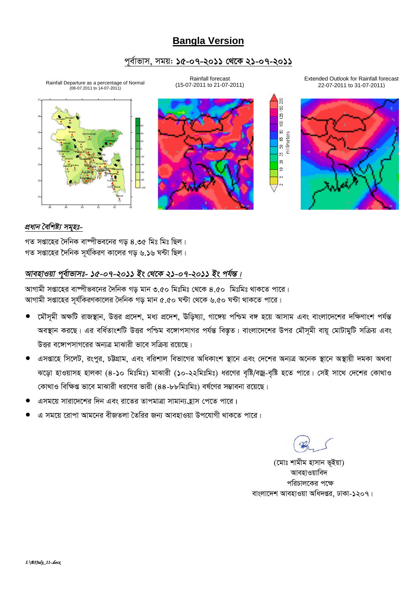### **Bangla Version**

### পূর্বাভাস, সময়: ১৫-০৭-২০১১ থেকে ২১-০৭-২০১১

Rainfall Departure as a percentage of Normal<br>(08-07.2011 to 14-07-2011)



Rainfall forecast (15-07-2011 to 21-07-2011) Extended Outlook for Rainfall forecast 22-07-2011 to 31-07-2011)





#### প্ৰধান বৈশিষ্ট্য সমুহঃ-

গত সপ্তাহের দৈনিক বাষ্পীভবনের গড় ৪.৩৫ মিঃ মিঃ ছিল। গত সপ্তাহের দৈনিক সূর্যকিরণ কালের গড় ৬.১৬ ঘন্টা ছিল।

### আবহাওয়া পুর্বাভাসঃ- ১৫-০৭-২০১১ ইং থেকে ২১-০৭-২০১১ ইং পর্যন্ত।

আগামী সপ্তাহের বাস্পীভবনের দৈনিক গড মান ৩.৫০ মিঃমিঃ থেকে ৪.৫০ মিঃমিঃ থাকতে পারে। আগামী সপ্তাহের সূর্যকিরণকালের দৈনিক গড় মান ৫.৫০ ঘন্টা থেকে ৬.৫০ ঘন্টা থাকতে পারে।

- মৌসূমী অক্ষটি রাজস্থান, উত্তর প্রদেশ, মধ্য প্রদেশ, উড়িষ্যা, গাঙ্গেয় পশ্চিম বঙ্গ হয়ে আসাম এবং বাংলাদেশের দক্ষিণাংশ পর্যন্ত অবস্থান করছে। এর বর্ধিতাংশটি উত্তর পশ্চিম বঙ্গোপসাগর পর্যন্ত বিস্তৃত। বাংলাদেশের উপর মৌসূমী বায়ূ মোটামুটি সক্রিয় এবং উত্তর বঙ্গোপসাগরের অন্যত্র মাঝারী ভাবে সক্রিয় রয়েছে।
- এসপ্তাহে সিলেট, রংপুর, চট্টগ্রাম, এবং বরিশাল বিভাগের অধিকাংশ স্থানে এবং দেশের অন্যত্র অনেক স্থানে অস্থায়ী দমকা অথবা ঝড়ো হাওয়াসহ হালকা (৪-১০ মিঃমিঃ) মাঝারী (১০-২২মিঃমিঃ) ধরণের বৃষ্টি/বজ্র-বৃষ্টি হতে পারে। সেই সাথে দেশের কোথাও কোথাও বিক্ষিপ্ত ভাবে মাঝারী ধরণের ভারী (৪৪-৮৮মিঃমিঃ) বর্ষণের সম্ভাবনা রয়েছে।
- এসময়ে সারাদেশের দিন এবং রাতের তাপমাত্রা সামান্য হ্রাস পেতে পারে।
- এ সময়ে রোপা আমনের বীজতলা তৈরির জন্য আবহাওয়া উপযোগী থাকতে পারে।

(মোঃ শামীম হাসান ভূইয়া) আবহাওয়াবিদ পরিচালকের পক্ষে বাংলাদেশ আবহাওয়া অধিদপ্তর, ঢাকা-১২০৭।